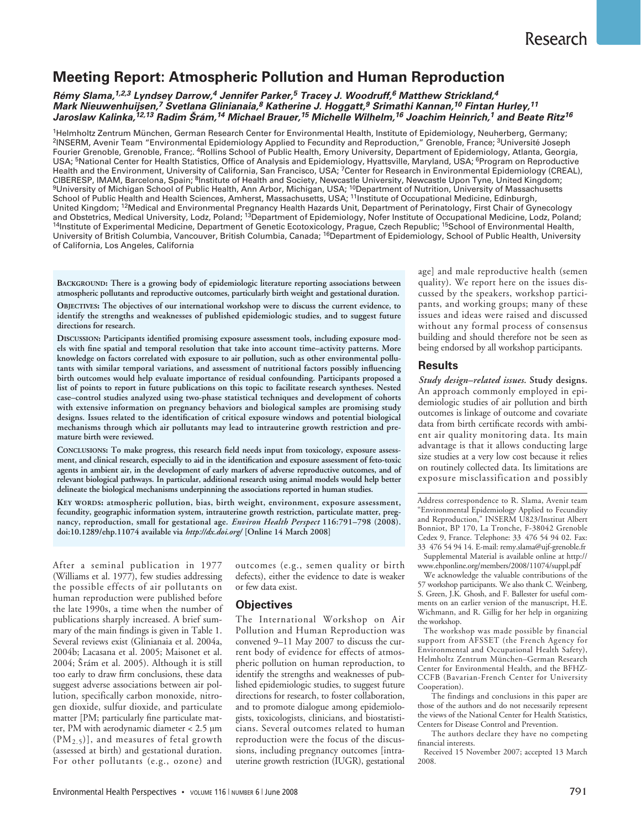# **Meeting Report: Atmospheric Pollution and Human Reproduction**

**Rémy Slama,1,2,3 Lyndsey Darrow,<sup>4</sup> Jennifer Parker,<sup>5</sup> Tracey J. Woodruff,<sup>6</sup> Matthew Strickland,<sup>4</sup> Mark Nieuwenhuijsen,<sup>7</sup> Svetlana Glinianaia,<sup>8</sup> Katherine J. Hoggatt,<sup>9</sup> Srimathi Kannan,<sup>10</sup> Fintan Hurley,<sup>11</sup> Jaroslaw Kalinka,12,13 Radim Sˇrám,<sup>14</sup> Michael Brauer,<sup>15</sup> Michelle Wilhelm,<sup>16</sup> Joachim Heinrich,<sup>1</sup> and Beate Ritz<sup>16</sup>**

1Helmholtz Zentrum München, German Research Center for Environmental Health, Institute of Epidemiology, Neuherberg, Germany; 2INSERM, Avenir Team "Environmental Epidemiology Applied to Fecundity and Reproduction," Grenoble, France; 3Université Joseph Fourier Grenoble, Grenoble, France;. 4Rollins School of Public Health, Emory University, Department of Epidemiology, Atlanta, Georgia, USA; <sup>5</sup>National Center for Health Statistics, Office of Analysis and Epidemiology, Hyattsville, Maryland, USA; <sup>6</sup>Program on Reproductive Health and the Environment, University of California, San Francisco, USA; <sup>7</sup>Center for Research in Environmental Epidemiology (CREAL), CIBERESP, IMAM, Barcelona, Spain; <sup>8</sup>Institute of Health and Society, Newcastle University, Newcastle Upon Tyne, United Kingdom; <sup>9</sup>University of Michigan School of Public Health, Ann Arbor, Michigan, USA; <sup>10</sup>Department of Nutrition, University of Massachusetts School of Public Health and Health Sciences, Amherst, Massachusetts, USA; <sup>11</sup>Institute of Occupational Medicine, Edinburgh, United Kingdom; 12Medical and Environmental Pregnancy Health Hazards Unit, Department of Perinatology, First Chair of Gynecology and Obstetrics, Medical University, Lodz, Poland; <sup>13</sup>Department of Epidemiology, Nofer Institute of Occupational Medicine, Lodz, Poland; <sup>14</sup>Institute of Experimental Medicine, Department of Genetic Ecotoxicology, Prague, Czech Republic; <sup>15</sup>School of Environmental Health, University of British Columbia, Vancouver, British Columbia, Canada; 16Department of Epidemiology, School of Public Health, University of California, Los Angeles, California

**BACKGROUND: There is a growing body of epidemiologic literature reporting associations between atmospheric pollutants and reproductive outcomes, particularly birth weight and gestational duration.** 

**OBJECTIVES: The objectives of our international workshop were to discuss the current evidence, to identify the strengths and weaknesses of published epidemiologic studies, and to suggest future directions for research.** 

**DISCUSSION: Participants identified promising exposure assessment tools, including exposure models with fine spatial and temporal resolution that take into account time–activity patterns. More knowledge on factors correlated with exposure to air pollution, such as other environmental pollutants with similar temporal variations, and assessment of nutritional factors possibly influencing birth outcomes would help evaluate importance of residual confounding. Participants proposed a list of points to report in future publications on this topic to facilitate research syntheses. Nested case–control studies analyzed using two-phase statistical techniques and development of cohorts with extensive information on pregnancy behaviors and biological samples are promising study designs. Issues related to the identification of critical exposure windows and potential biological mechanisms through which air pollutants may lead to intrauterine growth restriction and premature birth were reviewed.** 

**CONCLUSIONS: To make progress, this research field needs input from toxicology, exposure assessment, and clinical research, especially to aid in the identification and exposure assessment of feto-toxic agents in ambient air, in the development of early markers of adverse reproductive outcomes, and of relevant biological pathways. In particular, additional research using animal models would help better delineate the biological mechanisms underpinning the associations reported in human studies.**

**KEY WORDS: atmospheric pollution, bias, birth weight, environment, exposure assessment, fecundity, geographic information system, intrauterine growth restriction, particulate matter, pregnancy, reproduction, small for gestational age.** *Environ Health Perspect* **116:791–798 (2008). doi:10.1289/ehp.11074 available via** *http://dx.doi.org/* **[Online 14 March 2008]**

After a seminal publication in 1977 (Williams et al. 1977), few studies addressing the possible effects of air pollutants on human reproduction were published before the late 1990s, a time when the number of publications sharply increased. A brief summary of the main findings is given in Table 1. Several reviews exist (Glinianaia et al. 2004a, 2004b; Lacasana et al. 2005; Maisonet et al. 2004; Šrám et al. 2005). Although it is still too early to draw firm conclusions, these data suggest adverse associations between air pollution, specifically carbon monoxide, nitrogen dioxide, sulfur dioxide, and particulate matter [PM; particularly fine particulate matter, PM with aerodynamic diameter < 2.5 µm  $(PM<sub>2.5</sub>)$ , and measures of fetal growth (assessed at birth) and gestational duration. For other pollutants (e.g., ozone) and

outcomes (e.g., semen quality or birth defects), either the evidence to date is weaker or few data exist.

# **Objectives**

The International Workshop on Air Pollution and Human Reproduction was convened 9–11 May 2007 to discuss the current body of evidence for effects of atmospheric pollution on human reproduction, to identify the strengths and weaknesses of published epidemiologic studies, to suggest future directions for research, to foster collaboration, and to promote dialogue among epidemiologists, toxicologists, clinicians, and biostatisticians. Several outcomes related to human reproduction were the focus of the discussions, including pregnancy outcomes [intrauterine growth restriction (IUGR), gestational age] and male reproductive health (semen quality). We report here on the issues discussed by the speakers, workshop participants, and working groups; many of these issues and ideas were raised and discussed without any formal process of consensus building and should therefore not be seen as being endorsed by all workshop participants.

# **Results**

*Study design–related issues.* **Study designs.** An approach commonly employed in epidemiologic studies of air pollution and birth outcomes is linkage of outcome and covariate data from birth certificate records with ambient air quality monitoring data. Its main advantage is that it allows conducting large size studies at a very low cost because it relies on routinely collected data. Its limitations are exposure misclassification and possibly

Address correspondence to R. Slama, Avenir team "Environmental Epidemiology Applied to Fecundity and Reproduction," INSERM U823/Institut Albert Bonniot, BP 170, La Tronche, F-38042 Grenoble Cedex 9, France. Telephone: 33 476 54 94 02. Fax: 33 476 54 94 14. E-mail: remy.slama@ujf-grenoble.fr Supplemental Material is available online at http://

www.ehponline.org/members/2008/11074/suppl.pdf We acknowledge the valuable contributions of the 57 workshop participants. We also thank C. Weinberg,

S. Green, J.K. Ghosh, and F. Ballester for useful comments on an earlier version of the manuscript, H.E. Wichmann, and R. Gillig for her help in organizing the workshop.

The workshop was made possible by financial support from AFSSET (the French Agency for Environmental and Occupational Health Safety), Helmholtz Zentrum München–German Research Center for Environmental Health, and the BFHZ-CCFB (Bavarian-French Center for University Cooperation).

The findings and conclusions in this paper are those of the authors and do not necessarily represent the views of the National Center for Health Statistics, Centers for Disease Control and Prevention.

The authors declare they have no competing financial interests.

Received 15 November 2007; accepted 13 March 2008.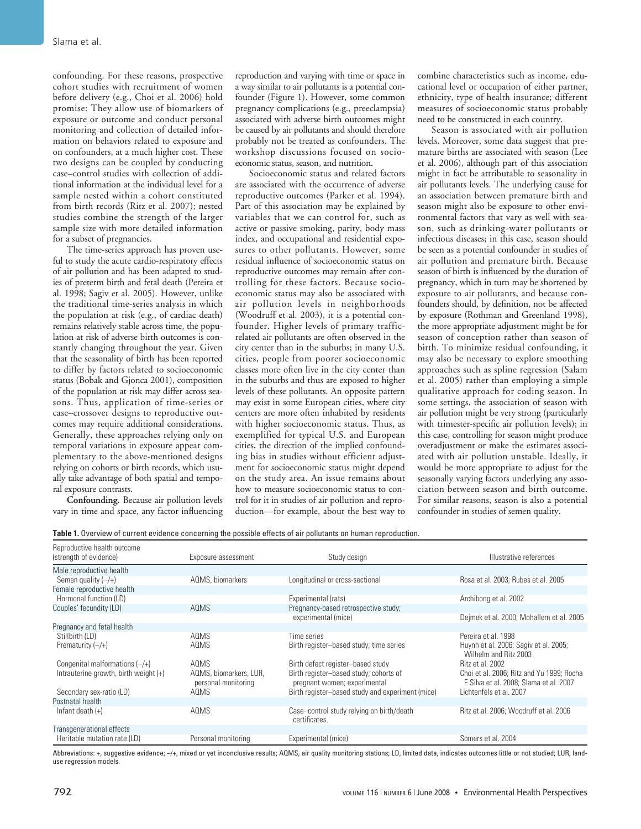confounding. For these reasons, prospective cohort studies with recruitment of women before delivery (e.g., Choi et al. 2006) hold promise: They allow use of biomarkers of exposure or outcome and conduct personal monitoring and collection of detailed information on behaviors related to exposure and on confounders, at a much higher cost. These two designs can be coupled by conducting case–control studies with collection of additional information at the individual level for a sample nested within a cohort constituted from birth records (Ritz et al. 2007); nested studies combine the strength of the larger sample size with more detailed information for a subset of pregnancies.

The time-series approach has proven useful to study the acute cardio-respiratory effects of air pollution and has been adapted to studies of preterm birth and fetal death (Pereira et al. 1998; Sagiv et al. 2005). However, unlike the traditional time-series analysis in which the population at risk (e.g., of cardiac death) remains relatively stable across time, the population at risk of adverse birth outcomes is constantly changing throughout the year. Given that the seasonality of birth has been reported to differ by factors related to socioeconomic status (Bobak and Gjonca 2001), composition of the population at risk may differ across seasons. Thus, application of time-series or case–crossover designs to reproductive outcomes may require additional considerations. Generally, these approaches relying only on temporal variations in exposure appear complementary to the above-mentioned designs relying on cohorts or birth records, which usually take advantage of both spatial and temporal exposure contrasts.

**Confounding.** Because air pollution levels vary in time and space, any factor influencing

reproduction and varying with time or space in a way similar to air pollutants is a potential confounder (Figure 1). However, some common pregnancy complications (e.g., preeclampsia) associated with adverse birth outcomes might be caused by air pollutants and should therefore probably not be treated as confounders. The workshop discussions focused on socioeconomic status, season, and nutrition.

Socioeconomic status and related factors are associated with the occurrence of adverse reproductive outcomes (Parker et al. 1994). Part of this association may be explained by variables that we can control for, such as active or passive smoking, parity, body mass index, and occupational and residential exposures to other pollutants. However, some residual influence of socioeconomic status on reproductive outcomes may remain after controlling for these factors. Because socioeconomic status may also be associated with air pollution levels in neighborhoods (Woodruff et al. 2003), it is a potential confounder. Higher levels of primary trafficrelated air pollutants are often observed in the city center than in the suburbs; in many U.S. cities, people from poorer socioeconomic classes more often live in the city center than in the suburbs and thus are exposed to higher levels of these pollutants. An opposite pattern may exist in some European cities, where city centers are more often inhabited by residents with higher socioeconomic status. Thus, as exemplified for typical U.S. and European cities, the direction of the implied confounding bias in studies without efficient adjustment for socioeconomic status might depend on the study area. An issue remains about how to measure socioeconomic status to control for it in studies of air pollution and reproduction—for example, about the best way to

combine characteristics such as income, educational level or occupation of either partner, ethnicity, type of health insurance; different measures of socioeconomic status probably need to be constructed in each country.

Season is associated with air pollution levels. Moreover, some data suggest that premature births are associated with season (Lee et al. 2006), although part of this association might in fact be attributable to seasonality in air pollutants levels. The underlying cause for an association between premature birth and season might also be exposure to other environmental factors that vary as well with season, such as drinking-water pollutants or infectious diseases; in this case, season should be seen as a potential confounder in studies of air pollution and premature birth. Because season of birth is influenced by the duration of pregnancy, which in turn may be shortened by exposure to air pollutants, and because confounders should, by definition, not be affected by exposure (Rothman and Greenland 1998), the more appropriate adjustment might be for season of conception rather than season of birth. To minimize residual confounding, it may also be necessary to explore smoothing approaches such as spline regression (Salam et al. 2005) rather than employing a simple qualitative approach for coding season. In some settings, the association of season with air pollution might be very strong (particularly with trimester-specific air pollution levels); in this case, controlling for season might produce overadjustment or make the estimates associated with air pollution unstable. Ideally, it would be more appropriate to adjust for the seasonally varying factors underlying any association between season and birth outcome. For similar reasons, season is also a potential confounder in studies of semen quality.

|  |  |  | Table 1. Overview of current evidence concerning the possible effects of air pollutants on human reproduction. |
|--|--|--|----------------------------------------------------------------------------------------------------------------|
|  |  |  |                                                                                                                |

| Reproductive health outcome<br>(strength of evidence)<br>Exposure assessment                            |                                                               | Study design                                                                                                                                                    | Illustrative references                                                                                                            |  |  |
|---------------------------------------------------------------------------------------------------------|---------------------------------------------------------------|-----------------------------------------------------------------------------------------------------------------------------------------------------------------|------------------------------------------------------------------------------------------------------------------------------------|--|--|
| Male reproductive health                                                                                |                                                               |                                                                                                                                                                 |                                                                                                                                    |  |  |
| Semen quality $(-/+)$                                                                                   | AQMS, biomarkers                                              | Longitudinal or cross-sectional                                                                                                                                 | Rosa et al. 2003; Rubes et al. 2005                                                                                                |  |  |
| Female reproductive health                                                                              |                                                               |                                                                                                                                                                 |                                                                                                                                    |  |  |
| Hormonal function (LD)                                                                                  |                                                               | Experimental (rats)                                                                                                                                             | Archibong et al. 2002                                                                                                              |  |  |
| Couples' fecundity (LD)                                                                                 | AOMS                                                          | Pregnancy-based retrospective study;                                                                                                                            |                                                                                                                                    |  |  |
|                                                                                                         |                                                               | experimental (mice)                                                                                                                                             | Dejmek et al. 2000; Mohallem et al. 2005                                                                                           |  |  |
| Pregnancy and fetal health                                                                              |                                                               |                                                                                                                                                                 |                                                                                                                                    |  |  |
| Stillbirth (LD)<br>Prematurity $(-/+)$                                                                  | <b>AQMS</b><br>AQMS                                           | Time series<br>Birth register-based study; time series                                                                                                          | Pereira et al. 1998<br>Huynh et al. 2006; Sagiv et al. 2005;<br>Wilhelm and Ritz 2003                                              |  |  |
| Congenital malformations $(-/+)$<br>Intrauterine growth, birth weight $(+)$<br>Secondary sex-ratio (LD) | AQMS<br>AQMS, biomarkers, LUR,<br>personal monitoring<br>AQMS | Birth defect register-based study<br>Birth register-based study; cohorts of<br>pregnant women; experimental<br>Birth register-based study and experiment (mice) | Ritz et al. 2002<br>Choi et al. 2006; Ritz and Yu 1999; Rocha<br>E Silva et al. 2008; Slama et al. 2007<br>Lichtenfels et al. 2007 |  |  |
| Postnatal health                                                                                        |                                                               |                                                                                                                                                                 |                                                                                                                                    |  |  |
| Infant death $(+)$                                                                                      | <b>AQMS</b>                                                   | Case-control study relying on birth/death<br>certificates.                                                                                                      | Ritz et al. 2006; Woodruff et al. 2006                                                                                             |  |  |
| Transgenerational effects                                                                               |                                                               |                                                                                                                                                                 |                                                                                                                                    |  |  |
| Heritable mutation rate (LD)                                                                            | Personal monitoring                                           | Experimental (mice)                                                                                                                                             | Somers et al. 2004                                                                                                                 |  |  |

Abbreviations: +, suggestive evidence; -/+, mixed or yet inconclusive results; AQMS, air quality monitoring stations; LD, limited data, indicates outcomes little or not studied; LUR, landuse regression models.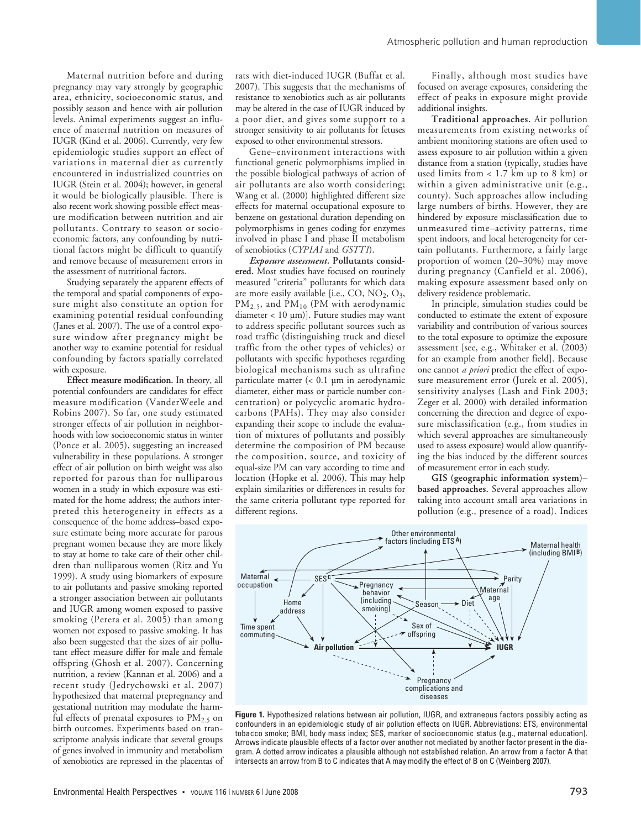Maternal nutrition before and during pregnancy may vary strongly by geographic area, ethnicity, socioeconomic status, and possibly season and hence with air pollution levels. Animal experiments suggest an influence of maternal nutrition on measures of IUGR (Kind et al. 2006). Currently, very few epidemiologic studies support an effect of variations in maternal diet as currently encountered in industrialized countries on IUGR (Stein et al. 2004); however, in general it would be biologically plausible. There is also recent work showing possible effect measure modification between nutrition and air pollutants. Contrary to season or socioeconomic factors, any confounding by nutritional factors might be difficult to quantify and remove because of measurement errors in the assessment of nutritional factors.

Studying separately the apparent effects of the temporal and spatial components of exposure might also constitute an option for examining potential residual confounding (Janes et al. 2007). The use of a control exposure window after pregnancy might be another way to examine potential for residual confounding by factors spatially correlated with exposure.

**Effect measure modification.** In theory, all potential confounders are candidates for effect measure modification (VanderWeele and Robins 2007). So far, one study estimated stronger effects of air pollution in neighborhoods with low socioeconomic status in winter (Ponce et al. 2005), suggesting an increased vulnerability in these populations. A stronger effect of air pollution on birth weight was also reported for parous than for nulliparous women in a study in which exposure was estimated for the home address; the authors interpreted this heterogeneity in effects as a consequence of the home address–based exposure estimate being more accurate for parous pregnant women because they are more likely to stay at home to take care of their other children than nulliparous women (Ritz and Yu 1999). A study using biomarkers of exposure to air pollutants and passive smoking reported a stronger association between air pollutants and IUGR among women exposed to passive smoking (Perera et al. 2005) than among women not exposed to passive smoking. It has also been suggested that the sizes of air pollutant effect measure differ for male and female offspring (Ghosh et al. 2007). Concerning nutrition, a review (Kannan et al. 2006) and a recent study (Jedrychowski et al. 2007) hypothesized that maternal prepregnancy and gestational nutrition may modulate the harmful effects of prenatal exposures to  $PM_{2.5}$  on birth outcomes. Experiments based on transcriptome analysis indicate that several groups of genes involved in immunity and metabolism of xenobiotics are repressed in the placentas of rats with diet-induced IUGR (Buffat et al. 2007). This suggests that the mechanisms of resistance to xenobiotics such as air pollutants may be altered in the case of IUGR induced by a poor diet, and gives some support to a stronger sensitivity to air pollutants for fetuses exposed to other environmental stressors.

Gene–environment interactions with functional genetic polymorphisms implied in the possible biological pathways of action of air pollutants are also worth considering; Wang et al. (2000) highlighted different size effects for maternal occupational exposure to benzene on gestational duration depending on polymorphisms in genes coding for enzymes involved in phase I and phase II metabolism of xenobiotics (*CYP1A1* and *GSTT1*).

*Exposure assessment.* **Pollutants considered.** Most studies have focused on routinely measured "criteria" pollutants for which data are more easily available [i.e., CO,  $NO_2$ ,  $O_3$ ,  $PM_{2.5}$ , and  $PM_{10}$  (PM with aerodynamic diameter < 10 µm)]. Future studies may want to address specific pollutant sources such as road traffic (distinguishing truck and diesel traffic from the other types of vehicles) or pollutants with specific hypotheses regarding biological mechanisms such as ultrafine particulate matter (< 0.1 µm in aerodynamic diameter, either mass or particle number concentration) or polycyclic aromatic hydrocarbons (PAHs). They may also consider expanding their scope to include the evaluation of mixtures of pollutants and possibly determine the composition of PM because the composition, source, and toxicity of equal-size PM can vary according to time and location (Hopke et al. 2006). This may help explain similarities or differences in results for the same criteria pollutant type reported for different regions.

Finally, although most studies have focused on average exposures, considering the effect of peaks in exposure might provide additional insights.

**Traditional approaches.** Air pollution measurements from existing networks of ambient monitoring stations are often used to assess exposure to air pollution within a given distance from a station (typically, studies have used limits from < 1.7 km up to 8 km) or within a given administrative unit (e.g., county). Such approaches allow including large numbers of births. However, they are hindered by exposure misclassification due to unmeasured time–activity patterns, time spent indoors, and local heterogeneity for certain pollutants. Furthermore, a fairly large proportion of women (20–30%) may move during pregnancy (Canfield et al. 2006), making exposure assessment based only on delivery residence problematic.

In principle, simulation studies could be conducted to estimate the extent of exposure variability and contribution of various sources to the total exposure to optimize the exposure assessment [see, e.g., Whitaker et al. (2003) for an example from another field]. Because one cannot *a priori* predict the effect of exposure measurement error (Jurek et al. 2005), sensitivity analyses (Lash and Fink 2003; Zeger et al. 2000) with detailed information concerning the direction and degree of exposure misclassification (e.g., from studies in which several approaches are simultaneously used to assess exposure) would allow quantifying the bias induced by the different sources of measurement error in each study.

**GIS (geographic information system)– based approaches.** Several approaches allow taking into account small area variations in pollution (e.g., presence of a road). Indices



**Figure 1.** Hypothesized relations between air pollution, IUGR, and extraneous factors possibly acting as confounders in an epidemiologic study of air pollution effects on IUGR. Abbreviations: ETS, environmental tobacco smoke; BMI, body mass index; SES, marker of socioeconomic status (e.g., maternal education). Arrows indicate plausible effects of a factor over another not mediated by another factor present in the diagram. A dotted arrow indicates a plausible although not established relation. An arrow from a factor A that intersects an arrow from B to C indicates that A may modify the effect of B on C (Weinberg 2007).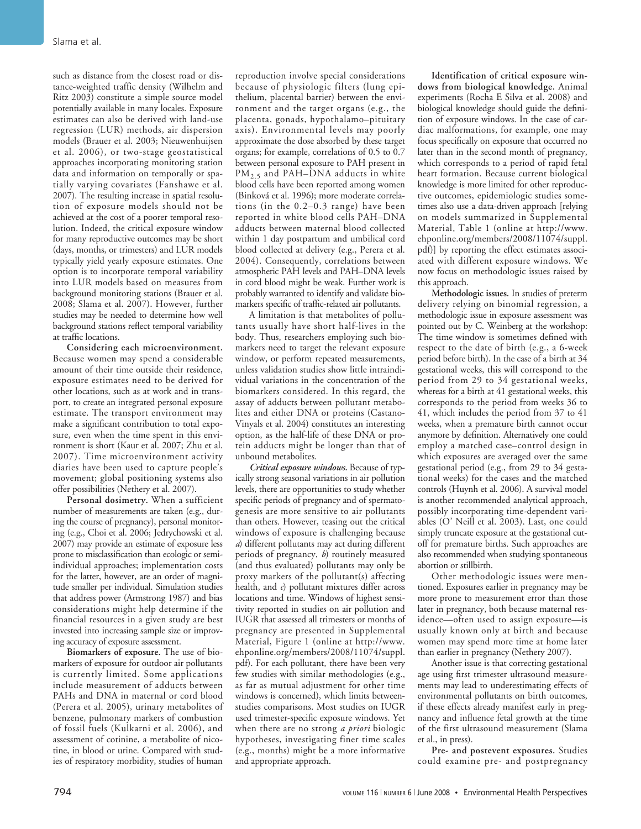such as distance from the closest road or distance-weighted traffic density (Wilhelm and Ritz 2003) constitute a simple source model potentially available in many locales. Exposure estimates can also be derived with land-use regression (LUR) methods, air dispersion models (Brauer et al. 2003; Nieuwenhuijsen et al. 2006), or two-stage geostatistical approaches incorporating monitoring station data and information on temporally or spatially varying covariates (Fanshawe et al. 2007). The resulting increase in spatial resolution of exposure models should not be achieved at the cost of a poorer temporal resolution. Indeed, the critical exposure window for many reproductive outcomes may be short (days, months, or trimesters) and LUR models typically yield yearly exposure estimates. One option is to incorporate temporal variability into LUR models based on measures from background monitoring stations (Brauer et al. 2008; Slama et al. 2007). However, further studies may be needed to determine how well background stations reflect temporal variability at traffic locations.

**Considering each microenvironment.** Because women may spend a considerable amount of their time outside their residence, exposure estimates need to be derived for other locations, such as at work and in transport, to create an integrated personal exposure estimate. The transport environment may make a significant contribution to total exposure, even when the time spent in this environment is short (Kaur et al. 2007; Zhu et al. 2007). Time microenvironment activity diaries have been used to capture people's movement; global positioning systems also offer possibilities (Nethery et al. 2007).

**Personal dosimetry.** When a sufficient number of measurements are taken (e.g., during the course of pregnancy), personal monitoring (e.g., Choi et al. 2006; Jedrychowski et al. 2007) may provide an estimate of exposure less prone to misclassification than ecologic or semiindividual approaches; implementation costs for the latter, however, are an order of magnitude smaller per individual. Simulation studies that address power (Armstrong 1987) and bias considerations might help determine if the financial resources in a given study are best invested into increasing sample size or improving accuracy of exposure assessment.

**Biomarkers of exposure.** The use of biomarkers of exposure for outdoor air pollutants is currently limited. Some applications include measurement of adducts between PAHs and DNA in maternal or cord blood (Perera et al. 2005), urinary metabolites of benzene, pulmonary markers of combustion of fossil fuels (Kulkarni et al. 2006), and assessment of cotinine, a metabolite of nicotine, in blood or urine. Compared with studies of respiratory morbidity, studies of human

reproduction involve special considerations because of physiologic filters (lung epithelium, placental barrier) between the environment and the target organs (e.g., the placenta, gonads, hypothalamo–pituitary axis). Environmental levels may poorly approximate the dose absorbed by these target organs; for example, correlations of 0.5 to 0.7 between personal exposure to PAH present in PM<sub>2.5</sub> and PAH–DNA adducts in white blood cells have been reported among women (Binková et al. 1996); more moderate correlations (in the 0.2–0.3 range) have been reported in white blood cells PAH–DNA adducts between maternal blood collected within 1 day postpartum and umbilical cord blood collected at delivery (e.g., Perera et al. 2004). Consequently, correlations between atmospheric PAH levels and PAH–DNA levels in cord blood might be weak. Further work is probably warranted to identify and validate biomarkers specific of traffic-related air pollutants.

A limitation is that metabolites of pollutants usually have short half-lives in the body. Thus, researchers employing such biomarkers need to target the relevant exposure window, or perform repeated measurements, unless validation studies show little intraindividual variations in the concentration of the biomarkers considered. In this regard, the assay of adducts between pollutant metabolites and either DNA or proteins (Castano-Vinyals et al. 2004) constitutes an interesting option, as the half-life of these DNA or protein adducts might be longer than that of unbound metabolites.

*Critical exposure windows.* Because of typically strong seasonal variations in air pollution levels, there are opportunities to study whether specific periods of pregnancy and of spermatogenesis are more sensitive to air pollutants than others. However, teasing out the critical windows of exposure is challenging because *a*) different pollutants may act during different periods of pregnancy, *b*) routinely measured (and thus evaluated) pollutants may only be proxy markers of the pollutant(s) affecting health, and *c*) pollutant mixtures differ across locations and time. Windows of highest sensitivity reported in studies on air pollution and IUGR that assessed all trimesters or months of pregnancy are presented in Supplemental Material, Figure 1 (online at http://www. ehponline.org/members/2008/11074/suppl. pdf). For each pollutant, there have been very few studies with similar methodologies (e.g., as far as mutual adjustment for other time windows is concerned), which limits betweenstudies comparisons. Most studies on IUGR used trimester-specific exposure windows. Yet when there are no strong *a priori* biologic hypotheses, investigating finer time scales (e.g., months) might be a more informative and appropriate approach.

**Identification of critical exposure windows from biological knowledge.** Animal experiments (Rocha E Silva et al. 2008) and biological knowledge should guide the definition of exposure windows. In the case of cardiac malformations, for example, one may focus specifically on exposure that occurred no later than in the second month of pregnancy, which corresponds to a period of rapid fetal heart formation. Because current biological knowledge is more limited for other reproductive outcomes, epidemiologic studies sometimes also use a data-driven approach [relying on models summarized in Supplemental Material, Table 1 (online at http://www. ehponline.org/members/2008/11074/suppl. pdf)] by reporting the effect estimates associated with different exposure windows. We now focus on methodologic issues raised by this approach.

**Methodologic issues.** In studies of preterm delivery relying on binomial regression, a methodologic issue in exposure assessment was pointed out by C. Weinberg at the workshop: The time window is sometimes defined with respect to the date of birth (e.g., a 6-week period before birth). In the case of a birth at 34 gestational weeks, this will correspond to the period from 29 to 34 gestational weeks, whereas for a birth at 41 gestational weeks, this corresponds to the period from weeks 36 to 41, which includes the period from 37 to 41 weeks, when a premature birth cannot occur anymore by definition. Alternatively one could employ a matched case–control design in which exposures are averaged over the same gestational period (e.g., from 29 to 34 gestational weeks) for the cases and the matched controls (Huynh et al. 2006). A survival model is another recommended analytical approach, possibly incorporating time-dependent variables (O' Neill et al. 2003). Last, one could simply truncate exposure at the gestational cutoff for premature births. Such approaches are also recommended when studying spontaneous abortion or stillbirth.

Other methodologic issues were mentioned. Exposures earlier in pregnancy may be more prone to measurement error than those later in pregnancy, both because maternal residence—often used to assign exposure—is usually known only at birth and because women may spend more time at home later than earlier in pregnancy (Nethery 2007).

Another issue is that correcting gestational age using first trimester ultrasound measurements may lead to underestimating effects of environmental pollutants on birth outcomes, if these effects already manifest early in pregnancy and influence fetal growth at the time of the first ultrasound measurement (Slama et al., in press).

**Pre- and postevent exposures.** Studies could examine pre- and postpregnancy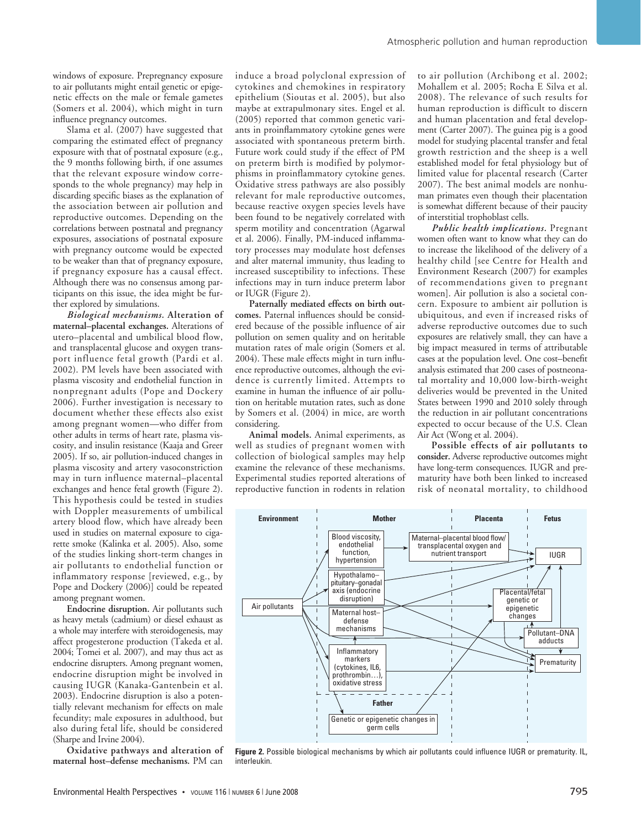windows of exposure. Prepregnancy exposure to air pollutants might entail genetic or epigenetic effects on the male or female gametes (Somers et al. 2004), which might in turn influence pregnancy outcomes.

Slama et al. (2007) have suggested that comparing the estimated effect of pregnancy exposure with that of postnatal exposure (e.g., the 9 months following birth, if one assumes that the relevant exposure window corresponds to the whole pregnancy) may help in discarding specific biases as the explanation of the association between air pollution and reproductive outcomes. Depending on the correlations between postnatal and pregnancy exposures, associations of postnatal exposure with pregnancy outcome would be expected to be weaker than that of pregnancy exposure, if pregnancy exposure has a causal effect. Although there was no consensus among participants on this issue, the idea might be further explored by simulations.

*Biological mechanisms.* **Alteration of maternal–placental exchanges.** Alterations of utero–placental and umbilical blood flow, and transplacental glucose and oxygen transport influence fetal growth (Pardi et al. 2002). PM levels have been associated with plasma viscosity and endothelial function in nonpregnant adults (Pope and Dockery 2006). Further investigation is necessary to document whether these effects also exist among pregnant women—who differ from other adults in terms of heart rate, plasma viscosity, and insulin resistance (Kaaja and Greer 2005). If so, air pollution-induced changes in plasma viscosity and artery vasoconstriction may in turn influence maternal–placental exchanges and hence fetal growth (Figure 2). This hypothesis could be tested in studies with Doppler measurements of umbilical artery blood flow, which have already been used in studies on maternal exposure to cigarette smoke (Kalinka et al. 2005). Also, some of the studies linking short-term changes in air pollutants to endothelial function or inflammatory response [reviewed, e.g., by Pope and Dockery (2006)] could be repeated among pregnant women.

**Endocrine disruption.** Air pollutants such as heavy metals (cadmium) or diesel exhaust as a whole may interfere with steroidogenesis, may affect progesterone production (Takeda et al. 2004; Tomei et al. 2007), and may thus act as endocrine disrupters. Among pregnant women, endocrine disruption might be involved in causing IUGR (Kanaka-Gantenbein et al. 2003). Endocrine disruption is also a potentially relevant mechanism for effects on male fecundity; male exposures in adulthood, but also during fetal life, should be considered (Sharpe and Irvine 2004).

**Oxidative pathways and alteration of maternal host–defense mechanisms.** PM can induce a broad polyclonal expression of cytokines and chemokines in respiratory epithelium (Sioutas et al. 2005), but also maybe at extrapulmonary sites. Engel et al. (2005) reported that common genetic variants in proinflammatory cytokine genes were associated with spontaneous preterm birth. Future work could study if the effect of PM on preterm birth is modified by polymorphisms in proinflammatory cytokine genes. Oxidative stress pathways are also possibly relevant for male reproductive outcomes, because reactive oxygen species levels have been found to be negatively correlated with sperm motility and concentration (Agarwal et al. 2006). Finally, PM-induced inflammatory processes may modulate host defenses and alter maternal immunity, thus leading to increased susceptibility to infections. These infections may in turn induce preterm labor or IUGR (Figure 2).

**Paternally mediated effects on birth outcomes.** Paternal influences should be considered because of the possible influence of air pollution on semen quality and on heritable mutation rates of male origin (Somers et al. 2004). These male effects might in turn influence reproductive outcomes, although the evidence is currently limited. Attempts to examine in human the influence of air pollution on heritable mutation rates, such as done by Somers et al. (2004) in mice, are worth considering.

**Animal models.** Animal experiments, as well as studies of pregnant women with collection of biological samples may help examine the relevance of these mechanisms. Experimental studies reported alterations of reproductive function in rodents in relation

to air pollution (Archibong et al. 2002; Mohallem et al. 2005; Rocha E Silva et al. 2008). The relevance of such results for human reproduction is difficult to discern and human placentation and fetal development (Carter 2007). The guinea pig is a good model for studying placental transfer and fetal growth restriction and the sheep is a well established model for fetal physiology but of limited value for placental research (Carter 2007). The best animal models are nonhuman primates even though their placentation is somewhat different because of their paucity of interstitial trophoblast cells.

*Public health implications.* Pregnant women often want to know what they can do to increase the likelihood of the delivery of a healthy child [see Centre for Health and Environment Research (2007) for examples of recommendations given to pregnant women]. Air pollution is also a societal concern. Exposure to ambient air pollution is ubiquitous, and even if increased risks of adverse reproductive outcomes due to such exposures are relatively small, they can have a big impact measured in terms of attributable cases at the population level. One cost–benefit analysis estimated that 200 cases of postneonatal mortality and 10,000 low-birth-weight deliveries would be prevented in the United States between 1990 and 2010 solely through the reduction in air pollutant concentrations expected to occur because of the U.S. Clean Air Act (Wong et al. 2004).

**Possible effects of air pollutants to consider.** Adverse reproductive outcomes might have long-term consequences. IUGR and prematurity have both been linked to increased risk of neonatal mortality, to childhood



**Figure 2.** Possible biological mechanisms by which air pollutants could influence IUGR or prematurity. IL, interleukin.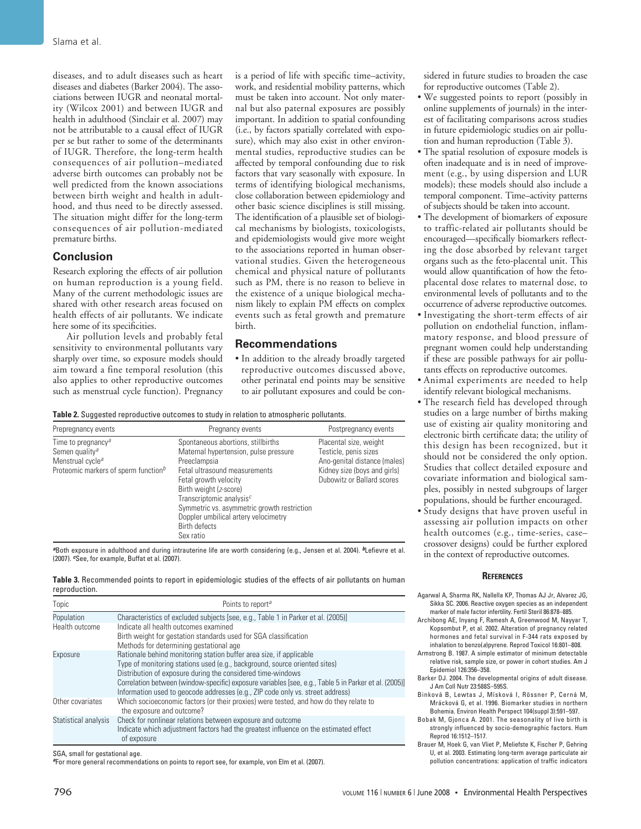diseases, and to adult diseases such as heart diseases and diabetes (Barker 2004). The associations between IUGR and neonatal mortality (Wilcox 2001) and between IUGR and health in adulthood (Sinclair et al. 2007) may not be attributable to a causal effect of IUGR per se but rather to some of the determinants of IUGR. Therefore, the long-term health consequences of air pollution–mediated adverse birth outcomes can probably not be well predicted from the known associations between birth weight and health in adulthood, and thus need to be directly assessed. The situation might differ for the long-term consequences of air pollution-mediated premature births.

# **Conclusion**

Research exploring the effects of air pollution on human reproduction is a young field. Many of the current methodologic issues are shared with other research areas focused on health effects of air pollutants. We indicate here some of its specificities.

Air pollution levels and probably fetal sensitivity to environmental pollutants vary sharply over time, so exposure models should aim toward a fine temporal resolution (this also applies to other reproductive outcomes such as menstrual cycle function). Pregnancy is a period of life with specific time–activity, work, and residential mobility patterns, which must be taken into account. Not only maternal but also paternal exposures are possibly important. In addition to spatial confounding (i.e., by factors spatially correlated with exposure), which may also exist in other environmental studies, reproductive studies can be affected by temporal confounding due to risk factors that vary seasonally with exposure. In terms of identifying biological mechanisms, close collaboration between epidemiology and other basic science disciplines is still missing. The identification of a plausible set of biological mechanisms by biologists, toxicologists, and epidemiologists would give more weight to the associations reported in human observational studies. Given the heterogeneous chemical and physical nature of pollutants such as PM, there is no reason to believe in the existence of a unique biological mechanism likely to explain PM effects on complex events such as fetal growth and premature birth.

# **Recommendations**

- In addition to the already broadly targeted reproductive outcomes discussed above, other perinatal end points may be sensitive to air pollutant exposures and could be con-
- **Table 2.** Suggested reproductive outcomes to study in relation to atmospheric pollutants.

| Prepregnancy events                                                                                                                              | Pregnancy events                                                                                                                                                                                                                                                                                                                             | Postpregnancy events                                                                                                                          |  |  |
|--------------------------------------------------------------------------------------------------------------------------------------------------|----------------------------------------------------------------------------------------------------------------------------------------------------------------------------------------------------------------------------------------------------------------------------------------------------------------------------------------------|-----------------------------------------------------------------------------------------------------------------------------------------------|--|--|
| Time to pregnancy <sup>a</sup><br>Semen quality <sup>a</sup><br>Menstrual cycle <sup>a</sup><br>Proteomic markers of sperm function <sup>b</sup> | Spontaneous abortions, stillbirths<br>Maternal hypertension, pulse pressure<br>Preeclampsia<br>Fetal ultrasound measurements<br>Fetal growth velocity<br>Birth weight (z-score)<br>Transcriptomic analysis <sup>c</sup><br>Symmetric vs. asymmetric growth restriction<br>Doppler umbilical artery velocimetry<br>Birth defects<br>Sex ratio | Placental size, weight<br>Testicle, penis sizes<br>Ano-genital distance (males)<br>Kidney size (boys and girls)<br>Dubowitz or Ballard scores |  |  |

**<sup>a</sup>**Both exposure in adulthood and during intrauterine life are worth considering (e.g., Jensen et al. 2004). **<sup>b</sup>**Lefievre et al. (2007). **c**See, for example, Buffat et al. (2007).

| Table 3. Recommended points to report in epidemiologic studies of the effects of air pollutants on human |  |  |  |  |  |
|----------------------------------------------------------------------------------------------------------|--|--|--|--|--|
| reproduction.                                                                                            |  |  |  |  |  |

| Topic                | Points to report <sup>a</sup>                                                                                                                                                           |
|----------------------|-----------------------------------------------------------------------------------------------------------------------------------------------------------------------------------------|
| Population           | Characteristics of excluded subjects [see, e.g., Table 1 in Parker et al. (2005)]                                                                                                       |
| Health outcome       | Indicate all health outcomes examined<br>Birth weight for gestation standards used for SGA classification                                                                               |
|                      | Methods for determining gestational age                                                                                                                                                 |
| Exposure             | Rationale behind monitoring station buffer area size, if applicable                                                                                                                     |
|                      | Type of monitoring stations used (e.g., background, source oriented sites)                                                                                                              |
|                      | Distribution of exposure during the considered time-windows                                                                                                                             |
|                      | Correlation between (window-specific) exposure variables [see, e.g., Table 5 in Parker et al. (2005)]<br>Information used to geocode addresses (e.g., ZIP code only vs. street address) |
| Other covariates     | Which socioeconomic factors (or their proxies) were tested, and how do they relate to<br>the exposure and outcome?                                                                      |
| Statistical analysis | Check for nonlinear relations between exposure and outcome<br>Indicate which adjustment factors had the greatest influence on the estimated effect<br>of exposure                       |
|                      |                                                                                                                                                                                         |

SGA, small for gestational age.

**a**For more general recommendations on points to report see, for example, von Elm et al. (2007).

sidered in future studies to broaden the case for reproductive outcomes (Table 2).

- We suggested points to report (possibly in online supplements of journals) in the interest of facilitating comparisons across studies in future epidemiologic studies on air pollution and human reproduction (Table 3).
- The spatial resolution of exposure models is often inadequate and is in need of improvement (e.g., by using dispersion and LUR models); these models should also include a temporal component. Time–activity patterns of subjects should be taken into account.
- The development of biomarkers of exposure to traffic-related air pollutants should be encouraged—specifically biomarkers reflecting the dose absorbed by relevant target organs such as the feto-placental unit. This would allow quantification of how the fetoplacental dose relates to maternal dose, to environmental levels of pollutants and to the occurrence of adverse reproductive outcomes.
- Investigating the short-term effects of air pollution on endothelial function, inflammatory response, and blood pressure of pregnant women could help understanding if these are possible pathways for air pollutants effects on reproductive outcomes.
- Animal experiments are needed to help identify relevant biological mechanisms.
- The research field has developed through studies on a large number of births making use of existing air quality monitoring and electronic birth certificate data; the utility of this design has been recognized, but it should not be considered the only option. Studies that collect detailed exposure and covariate information and biological samples, possibly in nested subgroups of larger populations, should be further encouraged.
- Study designs that have proven useful in assessing air pollution impacts on other health outcomes (e.g., time-series, case– crossover designs) could be further explored in the context of reproductive outcomes.

#### **REFERENCES**

- Agarwal A, Sharma RK, Nallella KP, Thomas AJ Jr, Alvarez JG, Sikka SC. 2006. Reactive oxygen species as an independent marker of male factor infertility. Fertil Steril 86:878–885.
- Archibong AE, Inyang F, Ramesh A, Greenwood M, Nayyar T, Kopsombut P, et al. 2002. Alteration of pregnancy related hormones and fetal survival in F-344 rats exposed by inhalation to benzo(a)pyrene. Reprod Toxicol 16:801–808.
- Armstrong B. 1987. A simple estimator of minimum detectable relative risk, sample size, or power in cohort studies. Am J Epidemiol 126:356–358.
- Barker DJ. 2004. The developmental origins of adult disease. J Am Coll Nutr 23:588S–595S.
- Binková B, Lewtas J, Mísková I, Rössner P, Cerná M, Mrácková G, et al. 1996. Biomarker studies in northern Bohemia. Environ Health Perspect 104(suppl 3):591–597.
- Bobak M, Gjonca A. 2001. The seasonality of live birth is strongly influenced by socio-demographic factors. Hum Reprod 16:1512–1517.
- Brauer M, Hoek G, van Vliet P, Meliefste K, Fischer P, Gehring U, et al. 2003. Estimating long-term average particulate air pollution concentrations: application of traffic indicators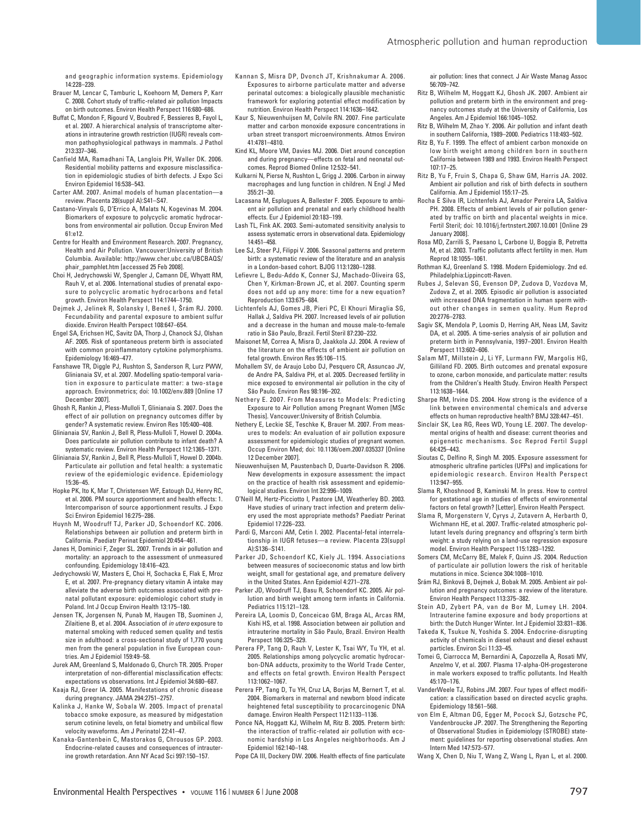and geographic information systems. Epidemiology 14:228–239.

- Brauer M, Lencar C, Tamburic L, Koehoorn M, Demers P, Karr C. 2008. Cohort study of traffic-related air pollution Impacts on birth outcomes. Environ Health Perspect 116:680–686.
- Buffat C, Mondon F, Rigourd V, Boubred F, Bessieres B, Fayol L, et al. 2007. A hierarchical analysis of transcriptome alterations in intrauterine growth restriction (IUGR) reveals common pathophysiological pathways in mammals. J Pathol 213:337–346.
- Canfield MA, Ramadhani TA, Langlois PH, Waller DK. 2006. Residential mobility patterns and exposure misclassification in epidemiologic studies of birth defects. J Expo Sci Environ Epidemiol 16:538–543.
- Carter AM. 2007. Animal models of human placentation—a review. Placenta 28(suppl A):S41–S47.
- Castano-Vinyals G, D'Errico A, Malats N, Kogevinas M. 2004. Biomarkers of exposure to polycyclic aromatic hydrocarbons from environmental air pollution. Occup Environ Med 61:e12.
- Centre for Health and Environment Research. 2007. Pregnancy, Health and Air Pollution. Vancouver:University of British Columbia. Available: http://www.cher.ubc.ca/UBCBAQS/ phair\_pamphlet.htm [accessed 25 Feb 2008].
- Choi H, Jedrychowski W, Spengler J, Camann DE, Whyatt RM, Rauh V, et al. 2006. International studies of prenatal exposure to polycyclic aromatic hydrocarbons and fetal growth. Environ Health Perspect 114:1744–1750.
- Dejmek J, Jelinek R, Solansky I, Beneš I, Šrám RJ. 2000. Fecundability and parental exposure to ambient sulfur dioxide. Environ Health Perspect 108:647–654.
- Engel SA, Erichsen HC, Savitz DA, Thorp J, Chanock SJ, Olshan AF. 2005. Risk of spontaneous preterm birth is associated with common proinflammatory cytokine polymorphisms. Epidemiology 16:469–477.
- Fanshawe TR, Diggle PJ, Rushton S, Sanderson R, Lurz PWW, Glinianaia SV, et al. 2007. Modelling spatio-temporal variation in exposure to particulate matter: a two-stage approach. Environmetrics; doi: 10.1002/env.889 [Online 17 December 2007].
- Ghosh R, Rankin J, Pless-Mulloli T, Glinianaia S. 2007. Does the effect of air pollution on pregnancy outcomes differ by gender? A systematic review. Environ Res 105:400–408.
- Glinianaia SV, Rankin J, Bell R, Pless-Mulloli T, Howel D. 2004a. Does particulate air pollution contribute to infant death? A systematic review. Environ Health Perspect 112:1365–1371.
- Glinianaia SV, Rankin J, Bell R, Pless-Mulloli T, Howel D. 2004b. Particulate air pollution and fetal health: a systematic review of the epidemiologic evidence. Epidemiology 15:36–45.
- Hopke PK, Ito K, Mar T, Christensen WF, Eatough DJ, Henry RC, et al. 2006. PM source apportionment and health effects: 1. Intercomparison of source apportionment results. J Expo Sci Environ Epidemiol 16:275–286.
- Huynh M, Woodruff TJ, Parker JD, Schoendorf KC. 2006. Relationships between air pollution and preterm birth in California. Paediatr Perinat Epidemiol 20:454–461.
- Janes H, Dominici F, Zeger SL. 2007. Trends in air pollution and mortality: an approach to the assessment of unmeasured confounding. Epidemiology 18:416–423.
- Jedrychowski W, Masters E, Choi H, Sochacka E, Flak E, Mroz E, et al. 2007. Pre-pregnancy dietary vitamin A intake may alleviate the adverse birth outcomes associated with prenatal pollutant exposure: epidemiologic cohort study in Poland. Int J Occup Environ Health 13:175–180.
- Jensen TK, Jorgensen N, Punab M, Haugen TB, Suominen J, Zilaitiene B, et al. 2004. Association of in utero exposure to maternal smoking with reduced semen quality and testis size in adulthood: a cross-sectional study of 1,770 young men from the general population in five European countries. Am J Epidemiol 159:49–58.
- Jurek AM, Greenland S, Maldonado G, Church TR. 2005. Proper interpretation of non-differential misclassification effects: expectations vs observations. Int J Epidemiol 34:680–687.
- Kaaja RJ, Greer IA. 2005. Manifestations of chronic disease during pregnancy. JAMA 294:2751–2757.
- Kalinka J, Hanke W, Sobala W. 2005. Impact of prenatal tobacco smoke exposure, as measured by midgestation serum cotinine levels, on fetal biometry and umbilical flow velocity waveforms. Am J Perinatol 22:41–47.
- Kanaka-Gantenbein C, Mastorakos G, Chrousos GP. 2003. Endocrine-related causes and consequences of intrauterine growth retardation. Ann NY Acad Sci 997:150–157.
- Kannan S, Misra DP, Dvonch JT, Krishnakumar A. 2006. Exposures to airborne particulate matter and adverse perinatal outcomes: a biologically plausible mechanistic framework for exploring potential effect modification by nutrition. Environ Health Perspect 114:1636–1642.
- Kaur S, Nieuwenhuijsen M, Colvile RN. 2007. Fine particulate matter and carbon monoxide exposure concentrations in urban street transport microenvironments. Atmos Environ 41:4781–4810.
- Kind KL, Moore VM, Davies MJ. 2006. Diet around conception and during pregnancy—effects on fetal and neonatal outcomes. Reprod Biomed Online 12:532–541.
- Kulkarni N, Pierse N, Rushton L, Grigg J. 2006. Carbon in airway macrophages and lung function in children. N Engl J Med 355:21–30.
- Lacasana M, Esplugues A, Ballester F. 2005. Exposure to ambient air pollution and prenatal and early childhood health effects. Eur J Epidemiol 20:183–199.
- Lash TL, Fink AK. 2003. Semi-automated sensitivity analysis to assess systematic errors in observational data. Epidemiology 14:451–458.
- Lee SJ, Steer PJ, Filippi V. 2006. Seasonal patterns and preterm birth: a systematic review of the literature and an analysis in a London-based cohort. BJOG 113:1280–1288.
- Lefievre L, Bedu-Addo K, Conner SJ, Machado-Oliveira GS, Chen Y, Kirkman-Brown JC, et al. 2007. Counting sperm does not add up any more: time for a new equation? Reproduction 133:675–684.
- Lichtenfels AJ, Gomes JB, Pieri PC, El Khouri Miraglia SG, Hallak J, Saldiva PH. 2007. Increased levels of air pollution and a decrease in the human and mouse male-to-female ratio in São Paulo, Brazil. Fertil Steril 87:230–232.
- Maisonet M, Correa A, Misra D, Jaakkola JJ. 2004. A review of the literature on the effects of ambient air pollution on fetal growth. Environ Res 95:106–115.
- Mohallem SV, de Araujo Lobo DJ, Pesquero CR, Assuncao JV, de Andre PA, Saldiva PH, et al. 2005. Decreased fertility in mice exposed to environmental air pollution in the city of São Paulo. Environ Res 98:196–202.
- Nethery E. 2007. From Measures to Models: Predicting Exposure to Air Pollution among Pregnant Women [MSc Thesis]. Vancouver:University of British Columbia.
- Nethery E, Leckie SE, Teschke K, Brauer M. 2007. From measures to models: An evaluation of air pollution exposure assessment for epidemiologic studies of pregnant women. Occup Environ Med; doi: 10.1136/oem.2007.035337 [Online 12 December 2007].
- Nieuwenhuijsen M, Paustenbach D, Duarte-Davidson R. 2006. New developments in exposure assessment: the impact on the practice of health risk assessment and epidemiological studies. Environ Int 32:996–1009.
- O'Neill M, Hertz-Picciotto I, Pastore LM, Weatherley BD. 2003. Have studies of urinary tract infection and preterm delivery used the most appropriate methods? Paediatr Perinat Epidemiol 17:226–233.
- Pardi G, Marconi AM, Cetin I. 2002. Placental-fetal interrelationship in IUGR fetuses—a review. Placenta 23(suppl A):S136–S141.
- Parker JD, Schoendorf KC, Kiely JL. 1994. Associations between measures of socioeconomic status and low birth weight, small for gestational age, and premature delivery in the United States. Ann Epidemiol 4:271–278.
- Parker JD, Woodruff TJ, Basu R, Schoendorf KC. 2005. Air pollution and birth weight among term infants in California. Pediatrics 115:121–128.
- Pereira LA, Loomis D, Conceicao GM, Braga AL, Arcas RM, Kishi HS, et al. 1998. Association between air pollution and intrauterine mortality in São Paulo, Brazil. Environ Health Perspect 106:325–329.
- Perera FP, Tang D, Rauh V, Lester K, Tsai WY, Tu YH, et al. 2005. Relationships among polycyclic aromatic hydrocarbon-DNA adducts, proximity to the World Trade Center, and effects on fetal growth. Environ Health Perspect 113:1062–1067.
- Perera FP, Tang D, Tu YH, Cruz LA, Borjas M, Bernert T, et al. 2004. Biomarkers in maternal and newborn blood indicate heightened fetal susceptibility to procarcinogenic DNA damage. Environ Health Perspect 112:1133–1136.
- Ponce NA, Hoggatt KJ, Wilhelm M, Ritz B. 2005. Preterm birth: the interaction of traffic-related air pollution with economic hardship in Los Angeles neighborhoods. Am J Epidemiol 162:140–148.

Pope CA III, Dockery DW. 2006. Health effects of fine particulate

air pollution: lines that connect. J Air Waste Manag Assoc 56:709–742.

- Ritz B, Wilhelm M, Hoggatt KJ, Ghosh JK. 2007. Ambient air pollution and preterm birth in the environment and pregnancy outcomes study at the University of California, Los Angeles. Am J Epidemiol 166:1045–1052.
- Ritz B, Wilhelm M, Zhao Y. 2006. Air pollution and infant death in southern California, 1989–2000. Pediatrics 118:493–502.
- Ritz B, Yu F. 1999. The effect of ambient carbon monoxide on low birth weight among children born in southern California between 1989 and 1993. Environ Health Perspect 107:17–25.
- Ritz B, Yu F, Fruin S, Chapa G, Shaw GM, Harris JA. 2002. Ambient air pollution and risk of birth defects in southern California. Am J Epidemiol 155:17–25.
- Rocha E Silva IR, Lichtenfels AJ, Amador Pereira LA, Saldiva PH. 2008. Effects of ambient levels of air pollution generated by traffic on birth and placental weights in mice. Fertil Steril; doi: 10.1016/j.fertnstert.2007.10.001 [Online 29 January 2008].
- Rosa MD, Zarrilli S, Paesano L, Carbone U, Boggia B, Petretta M, et al. 2003. Traffic pollutants affect fertility in men. Hum Reprod 18:1055–1061.
- Rothman KJ, Greenland S. 1998. Modern Epidemiology. 2nd ed. Philadelphia:Lippincott-Raven.
- Rubes J, Selevan SG, Evenson DP, Zudova D, Vozdova M, Zudova Z, et al. 2005. Episodic air pollution is associated with increased DNA fragmentation in human sperm without other changes in semen quality. Hum Reprod 20:2776–2783.
- Sagiv SK, Mendola P, Loomis D, Herring AH, Neas LM, Savitz DA, et al. 2005. A time-series analysis of air pollution and preterm birth in Pennsylvania, 1997–2001. Environ Health Perspect 113:602–606.
- Salam MT, Millstein J, Li YF, Lurmann FW, Margolis HG, Gilliland FD. 2005. Birth outcomes and prenatal exposure to ozone, carbon monoxide, and particulate matter: results from the Children's Health Study. Environ Health Perspect 113:1638–1644.
- Sharpe RM, Irvine DS. 2004. How strong is the evidence of a link between environmental chemicals and adverse effects on human reproductive health? BMJ 328:447–451.
- Sinclair SK, Lea RG, Rees WD, Young LE. 2007. The developmental origins of health and disease: current theories and epigenetic mechanisms. Soc Reprod Fertil Suppl 64:425–443.
- Sioutas C, Delfino R, Singh M. 2005. Exposure assessment for atmospheric ultrafine particles (UFPs) and implications for epidemiologic research. Environ Health Perspect 113:947–955.
- Slama R, Khoshnood B, Kaminski M. In press. How to control for gestational age in studies of effects of environmental factors on fetal growth? [Letter]. Environ Health Perspect.
- Slama R, Morgenstern V, Cyrys J, Zutavern A, Herbarth O, Wichmann HE, et al. 2007. Traffic-related atmospheric pollutant levels during pregnancy and offspring's term birth weight: a study relying on a land-use regression exposure model. Environ Health Perspect 115:1283–1292.
- Somers CM, McCarry BE, Malek F, Quinn JS. 2004. Reduction of particulate air pollution lowers the risk of heritable mutations in mice. Science 304:1008–1010.
- Šrám RJ, Binková B, Dejmek J, Bobak M. 2005. Ambient air pollution and pregnancy outcomes: a review of the literature. Environ Health Perspect 113:375–382.
- Stein AD, Zybert PA, van de Bor M, Lumey LH. 2004. Intrauterine famine exposure and body proportions at birth: the Dutch Hunger Winter. Int J Epidemiol 33:831–836.
- Takeda K, Tsukue N, Yoshida S. 2004. Endocrine-disrupting activity of chemicals in diesel exhaust and diesel exhaust particles. Environ Sci 11:33–45.
- Tomei G, Ciarrocca M, Bernardini A, Capozzella A, Rosati MV, Anzelmo V, et al. 2007. Plasma 17-alpha-OH-progesterone in male workers exposed to traffic pollutants. Ind Health 45:170–176.
- VanderWeele TJ, Robins JM. 2007. Four types of effect modification: a classification based on directed acyclic graphs. Epidemiology 18:561–568.
- von Elm E, Altman DG, Egger M, Pocock SJ, Gotzsche PC, Vandenbroucke JP. 2007. The Strengthening the Reporting of Observational Studies in Epidemiology (STROBE) statement: guidelines for reporting observational studies. Ann Intern Med 147:573–577.
- Wang X, Chen D, Niu T, Wang Z, Wang L, Ryan L, et al. 2000.